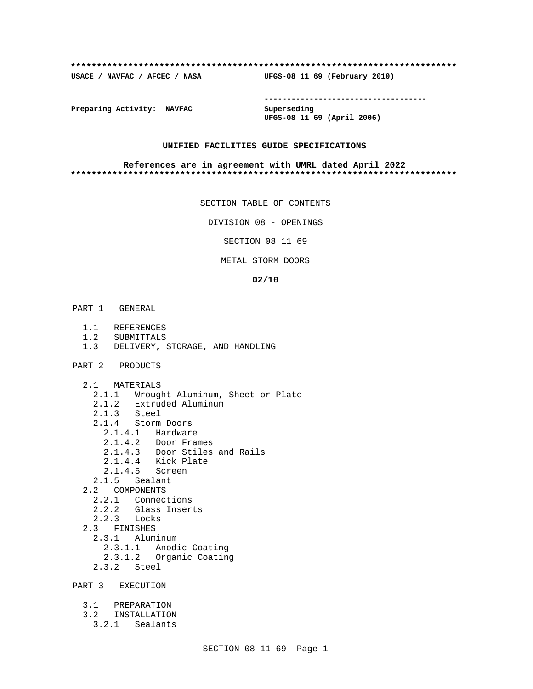#### **\*\*\*\*\*\*\*\*\*\*\*\*\*\*\*\*\*\*\*\*\*\*\*\*\*\*\*\*\*\*\*\*\*\*\*\*\*\*\*\*\*\*\*\*\*\*\*\*\*\*\*\*\*\*\*\*\*\*\*\*\*\*\*\*\*\*\*\*\*\*\*\*\*\***

**USACE / NAVFAC / AFCEC / NASA UFGS-08 11 69 (February 2010)**

**------------------------------------**

**Preparing Activity: NAVFAC Superseding**

**UFGS-08 11 69 (April 2006)**

# **UNIFIED FACILITIES GUIDE SPECIFICATIONS**

#### **References are in agreement with UMRL dated April 2022 \*\*\*\*\*\*\*\*\*\*\*\*\*\*\*\*\*\*\*\*\*\*\*\*\*\*\*\*\*\*\*\*\*\*\*\*\*\*\*\*\*\*\*\*\*\*\*\*\*\*\*\*\*\*\*\*\*\*\*\*\*\*\*\*\*\*\*\*\*\*\*\*\*\***

SECTION TABLE OF CONTENTS

DIVISION 08 - OPENINGS

SECTION 08 11 69

METAL STORM DOORS

#### **02/10**

- PART 1 GENERAL
	- 1.1 REFERENCES
	- 1.2 SUBMITTALS
	- 1.3 DELIVERY, STORAGE, AND HANDLING
- PART 2 PRODUCTS
	- 2.1 MATERIALS
		- 2.1.1 Wrought Aluminum, Sheet or Plate
		- 2.1.2 Extruded Aluminum
		- 2.1.3 Steel<br>2.1.4 Storm
		- Storm Doors
		- 2.1.4.1 Hardware
		- 2.1.4.2 Door Frames
		- 2.1.4.3 Door Stiles and Rails
		- 2.1.4.4 Kick Plate
		- 2.1.4.5 Screen
		- 2.1.5 Sealant
	- 2.2 COMPONENTS
		- 2.2.1 Connections
		- 2.2.2 Glass Inserts
	- 2.2.3 Locks
	- 2.3 FINISHES
		- 2.3.1 Aluminum
		- 2.3.1.1 Anodic Coating
		- 2.3.1.2 Organic Coating
		- 2.3.2 Steel

PART 3 EXECUTION

- 3.1 PREPARATION 3.2 INSTALLATION
- 3.2.1 Sealants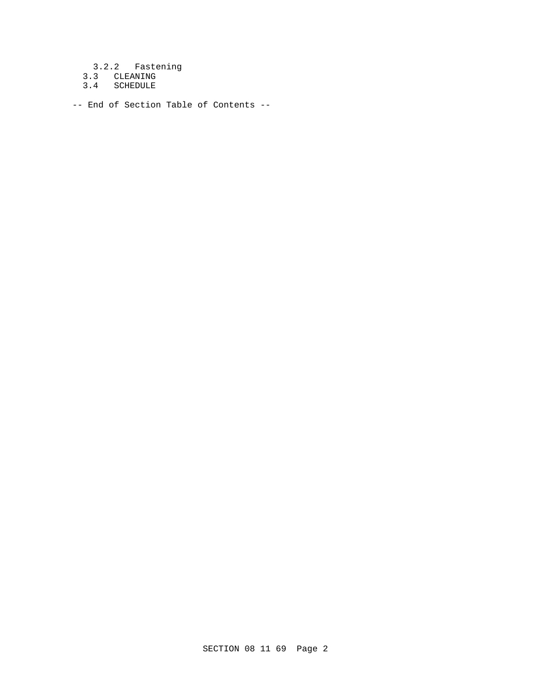3.2.2 Fastening

- 3.3 CLEANING
- 3.4 SCHEDULE

-- End of Section Table of Contents --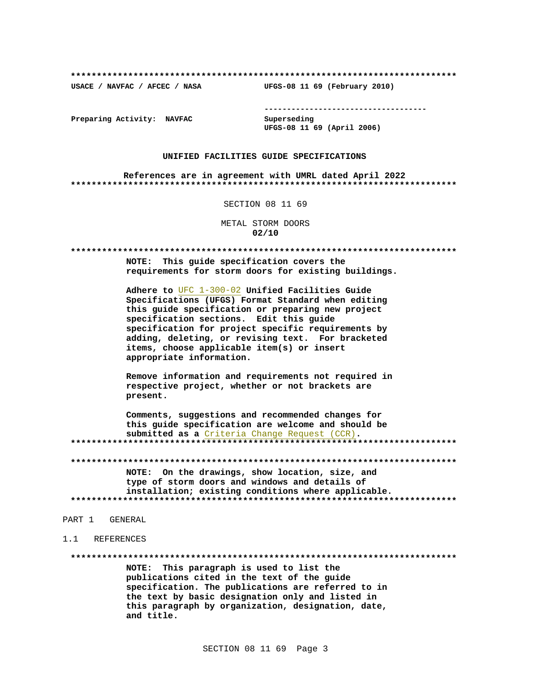USACE / NAVFAC / AFCEC / NASA

--------------------------------------

Preparing Activity: NAVFAC

Superseding UFGS-08 11 69 (April 2006)

UFGS-08 11 69 (February 2010)

### UNIFIED FACILITIES GUIDE SPECIFICATIONS

References are in agreement with UMRL dated April 2022 

SECTION 08 11 69

METAL STORM DOORS  $02/10$ 

NOTE: This guide specification covers the requirements for storm doors for existing buildings.

Adhere to UFC 1-300-02 Unified Facilities Guide Specifications (UFGS) Format Standard when editing this guide specification or preparing new project specification sections. Edit this quide specification for project specific requirements by adding, deleting, or revising text. For bracketed items, choose applicable item(s) or insert appropriate information.

Remove information and requirements not required in respective project, whether or not brackets are present.

Comments, suggestions and recommended changes for this guide specification are welcome and should be submitted as a Criteria Change Request (CCR). 

NOTE: On the drawings, show location, size, and type of storm doors and windows and details of installation; existing conditions where applicable. 

PART 1 GENERAL

1 1 REFERENCES

NOTE: This paragraph is used to list the publications cited in the text of the guide specification. The publications are referred to in the text by basic designation only and listed in this paragraph by organization, designation, date, and title.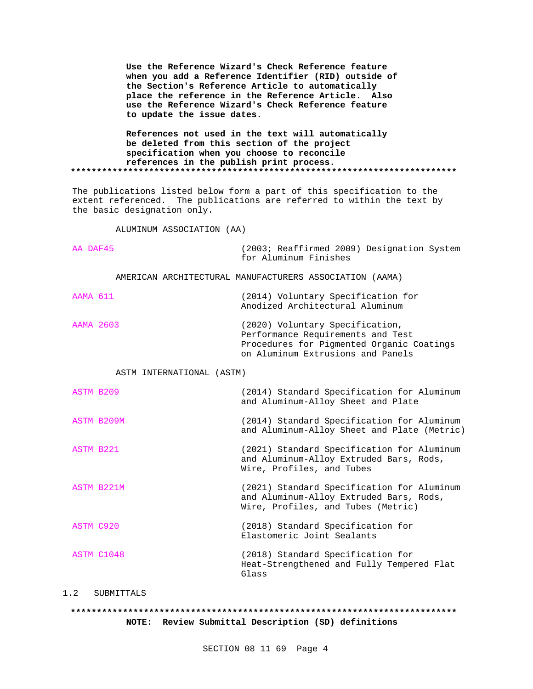**Use the Reference Wizard's Check Reference feature when you add a Reference Identifier (RID) outside of the Section's Reference Article to automatically place the reference in the Reference Article. Also use the Reference Wizard's Check Reference feature to update the issue dates.**

# **References not used in the text will automatically be deleted from this section of the project specification when you choose to reconcile references in the publish print process. \*\*\*\*\*\*\*\*\*\*\*\*\*\*\*\*\*\*\*\*\*\*\*\*\*\*\*\*\*\*\*\*\*\*\*\*\*\*\*\*\*\*\*\*\*\*\*\*\*\*\*\*\*\*\*\*\*\*\*\*\*\*\*\*\*\*\*\*\*\*\*\*\*\***

The publications listed below form a part of this specification to the extent referenced. The publications are referred to within the text by the basic designation only.

ALUMINUM ASSOCIATION (AA)

| AA DAF45  | (2003; Reaffirmed 2009) Designation System<br>for Aluminum Finishes                                                                                    |
|-----------|--------------------------------------------------------------------------------------------------------------------------------------------------------|
|           | AMERICAN ARCHITECTURAL MANUFACTURERS ASSOCIATION (AAMA)                                                                                                |
| AAMA 611  | (2014) Voluntary Specification for<br>Anodized Architectural Aluminum                                                                                  |
| AAMA 2603 | (2020) Voluntary Specification,<br>Performance Requirements and Test<br>Procedures for Pigmented Organic Coatings<br>on Aluminum Extrusions and Panels |
|           |                                                                                                                                                        |

ASTM INTERNATIONAL (ASTM)

| ASTM B209  | (2014) Standard Specification for Aluminum<br>and Aluminum-Alloy Sheet and Plate                                            |
|------------|-----------------------------------------------------------------------------------------------------------------------------|
| ASTM B209M | (2014) Standard Specification for Aluminum<br>and Aluminum-Alloy Sheet and Plate (Metric)                                   |
| ASTM B221  | (2021) Standard Specification for Aluminum<br>and Aluminum-Alloy Extruded Bars, Rods,<br>Wire, Profiles, and Tubes          |
| ASTM B221M | (2021) Standard Specification for Aluminum<br>and Aluminum-Alloy Extruded Bars, Rods,<br>Wire, Profiles, and Tubes (Metric) |
| ASTM C920  | (2018) Standard Specification for<br>Elastomeric Joint Sealants                                                             |
| ASTM C1048 | (2018) Standard Specification for<br>Heat-Strengthened and Fully Tempered Flat<br>Glass                                     |

# 1.2 SUBMITTALS

# **\*\*\*\*\*\*\*\*\*\*\*\*\*\*\*\*\*\*\*\*\*\*\*\*\*\*\*\*\*\*\*\*\*\*\*\*\*\*\*\*\*\*\*\*\*\*\*\*\*\*\*\*\*\*\*\*\*\*\*\*\*\*\*\*\*\*\*\*\*\*\*\*\*\* NOTE: Review Submittal Description (SD) definitions**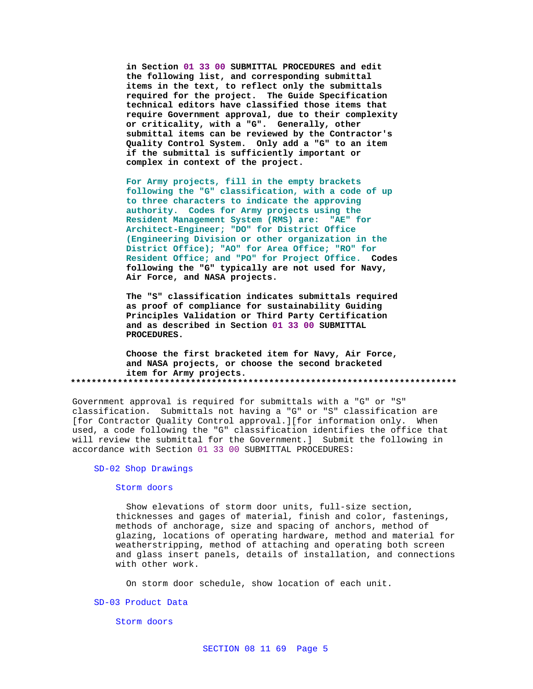**in Section 01 33 00 SUBMITTAL PROCEDURES and edit the following list, and corresponding submittal items in the text, to reflect only the submittals required for the project. The Guide Specification technical editors have classified those items that require Government approval, due to their complexity or criticality, with a "G". Generally, other submittal items can be reviewed by the Contractor's Quality Control System. Only add a "G" to an item if the submittal is sufficiently important or complex in context of the project.**

**For Army projects, fill in the empty brackets following the "G" classification, with a code of up to three characters to indicate the approving authority. Codes for Army projects using the Resident Management System (RMS) are: "AE" for Architect-Engineer; "DO" for District Office (Engineering Division or other organization in the District Office); "AO" for Area Office; "RO" for Resident Office; and "PO" for Project Office. Codes following the "G" typically are not used for Navy, Air Force, and NASA projects.**

**The "S" classification indicates submittals required as proof of compliance for sustainability Guiding Principles Validation or Third Party Certification and as described in Section 01 33 00 SUBMITTAL PROCEDURES.**

**Choose the first bracketed item for Navy, Air Force, and NASA projects, or choose the second bracketed item for Army projects. \*\*\*\*\*\*\*\*\*\*\*\*\*\*\*\*\*\*\*\*\*\*\*\*\*\*\*\*\*\*\*\*\*\*\*\*\*\*\*\*\*\*\*\*\*\*\*\*\*\*\*\*\*\*\*\*\*\*\*\*\*\*\*\*\*\*\*\*\*\*\*\*\*\***

Government approval is required for submittals with a "G" or "S" classification. Submittals not having a "G" or "S" classification are [for Contractor Quality Control approval.][for information only. When used, a code following the "G" classification identifies the office that will review the submittal for the Government.] Submit the following in accordance with Section 01 33 00 SUBMITTAL PROCEDURES:

# SD-02 Shop Drawings

#### Storm doors

 Show elevations of storm door units, full-size section, thicknesses and gages of material, finish and color, fastenings, methods of anchorage, size and spacing of anchors, method of glazing, locations of operating hardware, method and material for weatherstripping, method of attaching and operating both screen and glass insert panels, details of installation, and connections with other work.

On storm door schedule, show location of each unit.

### SD-03 Product Data

Storm doors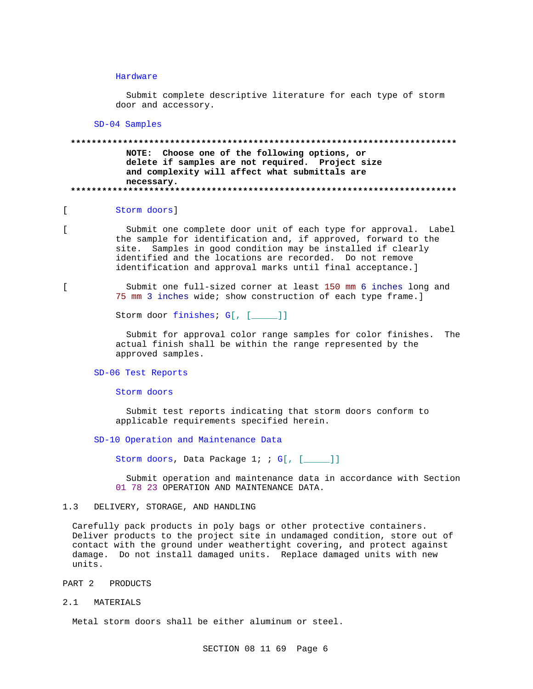### Hardware

 Submit complete descriptive literature for each type of storm door and accessory.

SD-04 Samples

**\*\*\*\*\*\*\*\*\*\*\*\*\*\*\*\*\*\*\*\*\*\*\*\*\*\*\*\*\*\*\*\*\*\*\*\*\*\*\*\*\*\*\*\*\*\*\*\*\*\*\*\*\*\*\*\*\*\*\*\*\*\*\*\*\*\*\*\*\*\*\*\*\*\* NOTE: Choose one of the following options, or delete if samples are not required. Project size and complexity will affect what submittals are necessary. \*\*\*\*\*\*\*\*\*\*\*\*\*\*\*\*\*\*\*\*\*\*\*\*\*\*\*\*\*\*\*\*\*\*\*\*\*\*\*\*\*\*\*\*\*\*\*\*\*\*\*\*\*\*\*\*\*\*\*\*\*\*\*\*\*\*\*\*\*\*\*\*\*\***

# [ Storm doors]

[ Submit one complete door unit of each type for approval. Label the sample for identification and, if approved, forward to the site. Samples in good condition may be installed if clearly identified and the locations are recorded. Do not remove identification and approval marks until final acceptance.]

[ Submit one full-sized corner at least 150 mm 6 inches long and 75 mm 3 inches wide; show construction of each type frame.]

Storm door finishes; G[, [\_\_\_\_]]

 Submit for approval color range samples for color finishes. The actual finish shall be within the range represented by the approved samples.

# SD-06 Test Reports

Storm doors

 Submit test reports indicating that storm doors conform to applicable requirements specified herein.

### SD-10 Operation and Maintenance Data

Storm doors, Data Package 1; ; G[, [\_\_\_\_]]

 Submit operation and maintenance data in accordance with Section 01 78 23 OPERATION AND MAINTENANCE DATA.

## 1.3 DELIVERY, STORAGE, AND HANDLING

Carefully pack products in poly bags or other protective containers. Deliver products to the project site in undamaged condition, store out of contact with the ground under weathertight covering, and protect against damage. Do not install damaged units. Replace damaged units with new units.

#### PART 2 PRODUCTS

2.1 MATERIALS

Metal storm doors shall be either aluminum or steel.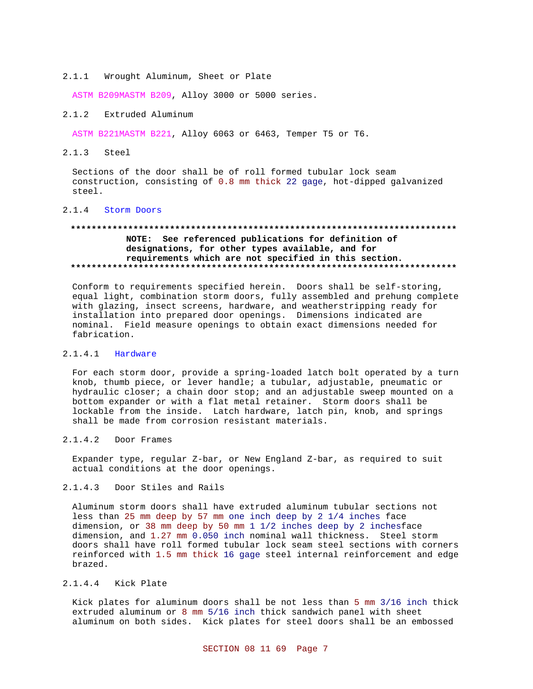2.1.1 Wrought Aluminum, Sheet or Plate

ASTM B209MASTM B209, Alloy 3000 or 5000 series.

# 2.1.2 Extruded Aluminum

ASTM B221MASTM B221, Alloy 6063 or 6463, Temper T5 or T6.

# 2.1.3 Steel

Sections of the door shall be of roll formed tubular lock seam construction, consisting of 0.8 mm thick 22 gage, hot-dipped galvanized steel.

# 2.1.4 Storm Doors

# **\*\*\*\*\*\*\*\*\*\*\*\*\*\*\*\*\*\*\*\*\*\*\*\*\*\*\*\*\*\*\*\*\*\*\*\*\*\*\*\*\*\*\*\*\*\*\*\*\*\*\*\*\*\*\*\*\*\*\*\*\*\*\*\*\*\*\*\*\*\*\*\*\*\* NOTE: See referenced publications for definition of designations, for other types available, and for requirements which are not specified in this section. \*\*\*\*\*\*\*\*\*\*\*\*\*\*\*\*\*\*\*\*\*\*\*\*\*\*\*\*\*\*\*\*\*\*\*\*\*\*\*\*\*\*\*\*\*\*\*\*\*\*\*\*\*\*\*\*\*\*\*\*\*\*\*\*\*\*\*\*\*\*\*\*\*\***

Conform to requirements specified herein. Doors shall be self-storing, equal light, combination storm doors, fully assembled and prehung complete with glazing, insect screens, hardware, and weatherstripping ready for installation into prepared door openings. Dimensions indicated are nominal. Field measure openings to obtain exact dimensions needed for fabrication.

### 2.1.4.1 Hardware

For each storm door, provide a spring-loaded latch bolt operated by a turn knob, thumb piece, or lever handle; a tubular, adjustable, pneumatic or hydraulic closer; a chain door stop; and an adjustable sweep mounted on a bottom expander or with a flat metal retainer. Storm doors shall be lockable from the inside. Latch hardware, latch pin, knob, and springs shall be made from corrosion resistant materials.

# 2.1.4.2 Door Frames

Expander type, regular Z-bar, or New England Z-bar, as required to suit actual conditions at the door openings.

# 2.1.4.3 Door Stiles and Rails

Aluminum storm doors shall have extruded aluminum tubular sections not less than 25 mm deep by 57 mm one inch deep by 2 1/4 inches face dimension, or 38 mm deep by 50 mm 1 1/2 inches deep by 2 inchesface dimension, and 1.27 mm 0.050 inch nominal wall thickness. Steel storm doors shall have roll formed tubular lock seam steel sections with corners reinforced with 1.5 mm thick 16 gage steel internal reinforcement and edge brazed.

# 2.1.4.4 Kick Plate

Kick plates for aluminum doors shall be not less than 5 mm 3/16 inch thick extruded aluminum or 8 mm 5/16 inch thick sandwich panel with sheet aluminum on both sides. Kick plates for steel doors shall be an embossed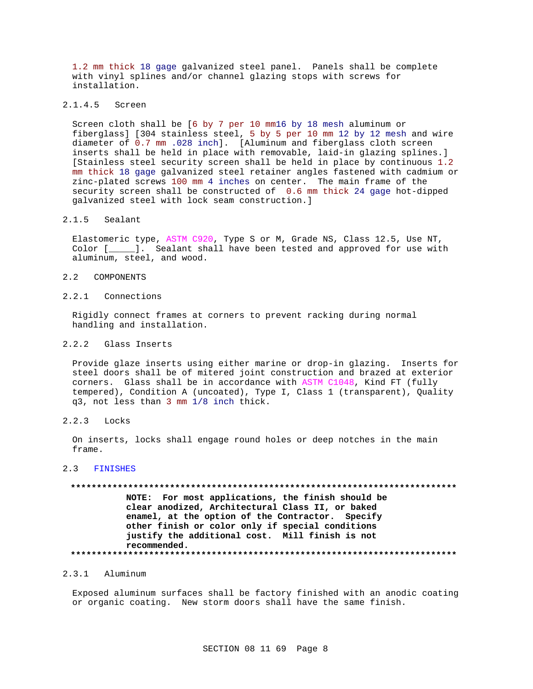1.2 mm thick 18 gage galvanized steel panel. Panels shall be complete with vinyl splines and/or channel glazing stops with screws for installation.

# 2.1.4.5 Screen

Screen cloth shall be [6 by 7 per 10 mm16 by 18 mesh aluminum or fiberglass] [304 stainless steel, 5 by 5 per 10 mm 12 by 12 mesh and wire diameter of 0.7 mm .028 inch]. [Aluminum and fiberglass cloth screen inserts shall be held in place with removable, laid-in glazing splines.] [Stainless steel security screen shall be held in place by continuous 1.2 mm thick 18 gage galvanized steel retainer angles fastened with cadmium or zinc-plated screws 100 mm 4 inches on center. The main frame of the security screen shall be constructed of 0.6 mm thick 24 gage hot-dipped galvanized steel with lock seam construction.]

### 2.1.5 Sealant

Elastomeric type, ASTM C920, Type S or M, Grade NS, Class 12.5, Use NT, Color [\_\_\_\_\_]. Sealant shall have been tested and approved for use with aluminum, steel, and wood.

#### 2.2 COMPONENTS

# 2.2.1 Connections

Rigidly connect frames at corners to prevent racking during normal handling and installation.

# 2.2.2 Glass Inserts

Provide glaze inserts using either marine or drop-in glazing. Inserts for steel doors shall be of mitered joint construction and brazed at exterior corners. Glass shall be in accordance with ASTM C1048, Kind FT (fully tempered), Condition A (uncoated), Type I, Class 1 (transparent), Quality q3, not less than 3 mm 1/8 inch thick.

## 2.2.3 Locks

On inserts, locks shall engage round holes or deep notches in the main frame.

# 2.3 FINISHES

# **\*\*\*\*\*\*\*\*\*\*\*\*\*\*\*\*\*\*\*\*\*\*\*\*\*\*\*\*\*\*\*\*\*\*\*\*\*\*\*\*\*\*\*\*\*\*\*\*\*\*\*\*\*\*\*\*\*\*\*\*\*\*\*\*\*\*\*\*\*\*\*\*\*\* NOTE: For most applications, the finish should be clear anodized, Architectural Class II, or baked enamel, at the option of the Contractor. Specify other finish or color only if special conditions justify the additional cost. Mill finish is not recommended. \*\*\*\*\*\*\*\*\*\*\*\*\*\*\*\*\*\*\*\*\*\*\*\*\*\*\*\*\*\*\*\*\*\*\*\*\*\*\*\*\*\*\*\*\*\*\*\*\*\*\*\*\*\*\*\*\*\*\*\*\*\*\*\*\*\*\*\*\*\*\*\*\*\***

# 2.3.1 Aluminum

Exposed aluminum surfaces shall be factory finished with an anodic coating or organic coating. New storm doors shall have the same finish.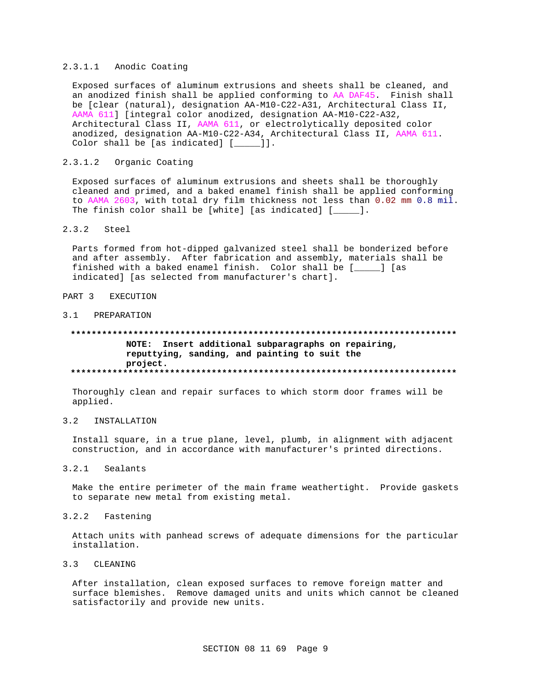# 2.3.1.1 Anodic Coating

Exposed surfaces of aluminum extrusions and sheets shall be cleaned, and an anodized finish shall be applied conforming to AA DAF45. Finish shall be [clear (natural), designation AA-M10-C22-A31, Architectural Class II, AAMA 611] [integral color anodized, designation AA-M10-C22-A32, Architectural Class II, AAMA 611, or electrolytically deposited color anodized, designation AA-M10-C22-A34, Architectural Class II, AAMA 611. Color shall be [as indicated] [\_\_\_\_\_]].

#### $2.3.1.2$ Organic Coating

Exposed surfaces of aluminum extrusions and sheets shall be thoroughly cleaned and primed, and a baked enamel finish shall be applied conforming to AAMA 2603, with total dry film thickness not less than 0.02 mm 0.8 mil. The finish color shall be [white] [as indicated]  $[$   $]$ .

#### $2.3.2$ Steel

Parts formed from hot-dipped galvanized steel shall be bonderized before and after assembly. After fabrication and assembly, materials shall be finished with a baked enamel finish. Color shall be [\_\_\_\_] [as indicated] [as selected from manufacturer's chart].

#### PART<sub>3</sub> EXECUTION

# 3.1 PREPARATION

# NOTE: Insert additional subparagraphs on repairing, reputtying, sanding, and painting to suit the project.

Thoroughly clean and repair surfaces to which storm door frames will be applied.

#### $3.2$ INSTALLATION

Install square, in a true plane, level, plumb, in alignment with adjacent construction, and in accordance with manufacturer's printed directions.

#### $3.2.1$ Sealants

Make the entire perimeter of the main frame weathertight. Provide gaskets to separate new metal from existing metal.

#### $3.2.2$ Fastening

Attach units with panhead screws of adequate dimensions for the particular installation.

# 3.3 CLEANING

After installation, clean exposed surfaces to remove foreign matter and surface blemishes. Remove damaged units and units which cannot be cleaned satisfactorily and provide new units.